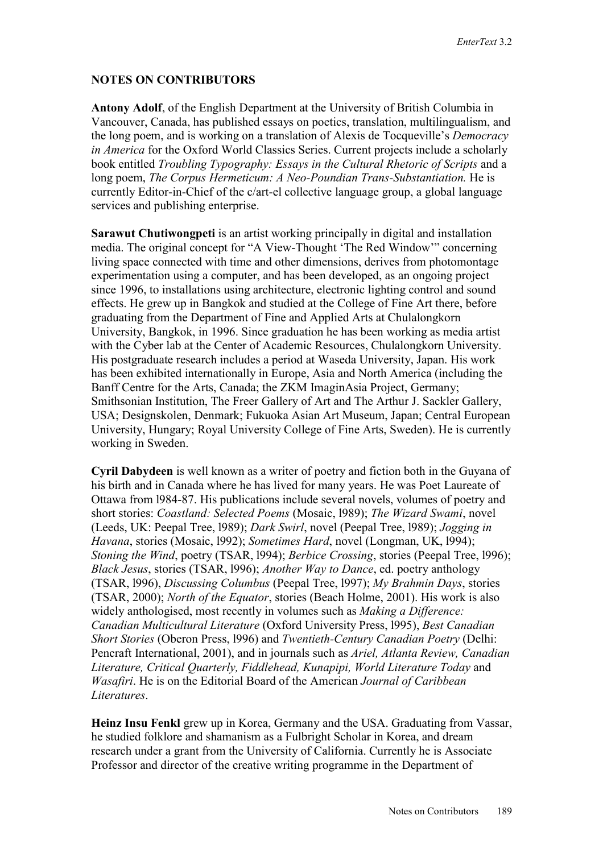## **NOTES ON CONTRIBUTORS**

**Antony Adolf**, of the English Department at the University of British Columbia in Vancouver, Canada, has published essays on poetics, translation, multilingualism, and the long poem, and is working on a translation of Alexis de Tocqueville's *Democracy in America* for the Oxford World Classics Series. Current projects include a scholarly book entitled *Troubling Typography: Essays in the Cultural Rhetoric of Scripts* and a long poem, *The Corpus Hermeticum: A Neo-Poundian Trans-Substantiation.* He is currently Editor-in-Chief of the c/art-el collective language group, a global language services and publishing enterprise.

**Sarawut Chutiwongpeti** is an artist working principally in digital and installation media. The original concept for "A View-Thought 'The Red Window'" concerning living space connected with time and other dimensions, derives from photomontage experimentation using a computer, and has been developed, as an ongoing project since 1996, to installations using architecture, electronic lighting control and sound effects. He grew up in Bangkok and studied at the College of Fine Art there, before graduating from the Department of Fine and Applied Arts at Chulalongkorn University, Bangkok, in 1996. Since graduation he has been working as media artist with the Cyber lab at the Center of Academic Resources, Chulalongkorn University. His postgraduate research includes a period at Waseda University, Japan. His work has been exhibited internationally in Europe, Asia and North America (including the Banff Centre for the Arts, Canada; the ZKM ImaginAsia Project, Germany; Smithsonian Institution, The Freer Gallery of Art and The Arthur J. Sackler Gallery, USA; Designskolen, Denmark; Fukuoka Asian Art Museum, Japan; Central European University, Hungary; Royal University College of Fine Arts, Sweden). He is currently working in Sweden.

**Cyril Dabydeen** is well known as a writer of poetry and fiction both in the Guyana of his birth and in Canada where he has lived for many years. He was Poet Laureate of Ottawa from l984-87. His publications include several novels, volumes of poetry and short stories: *Coastland: Selected Poems* (Mosaic, l989); *The Wizard Swami*, novel (Leeds, UK: Peepal Tree, l989); *Dark Swirl*, novel (Peepal Tree, l989); *Jogging in Havana*, stories (Mosaic, l992); *Sometimes Hard*, novel (Longman, UK, l994); *Stoning the Wind*, poetry (TSAR, 1994); *Berbice Crossing*, stories (Peepal Tree, 1996); *Black Jesus*, stories (TSAR, l996); *Another Way to Dance*, ed. poetry anthology (TSAR, l996), *Discussing Columbus* (Peepal Tree, l997); *My Brahmin Days*, stories (TSAR, 2000); *North of the Equator*, stories (Beach Holme, 2001). His work is also widely anthologised, most recently in volumes such as *Making a Difference: Canadian Multicultural Literature* (Oxford University Press, l995), *Best Canadian Short Stories* (Oberon Press, l996) and *Twentieth-Century Canadian Poetry* (Delhi: Pencraft International, 2001), and in journals such as *Ariel, Atlanta Review, Canadian Literature, Critical Quarterly, Fiddlehead, Kunapipi, World Literature Today* and *Wasafiri*. He is on the Editorial Board of the American *Journal of Caribbean Literatures*.

**Heinz Insu Fenkl** grew up in Korea, Germany and the USA. Graduating from Vassar, he studied folklore and shamanism as a Fulbright Scholar in Korea, and dream research under a grant from the University of California. Currently he is Associate Professor and director of the creative writing programme in the Department of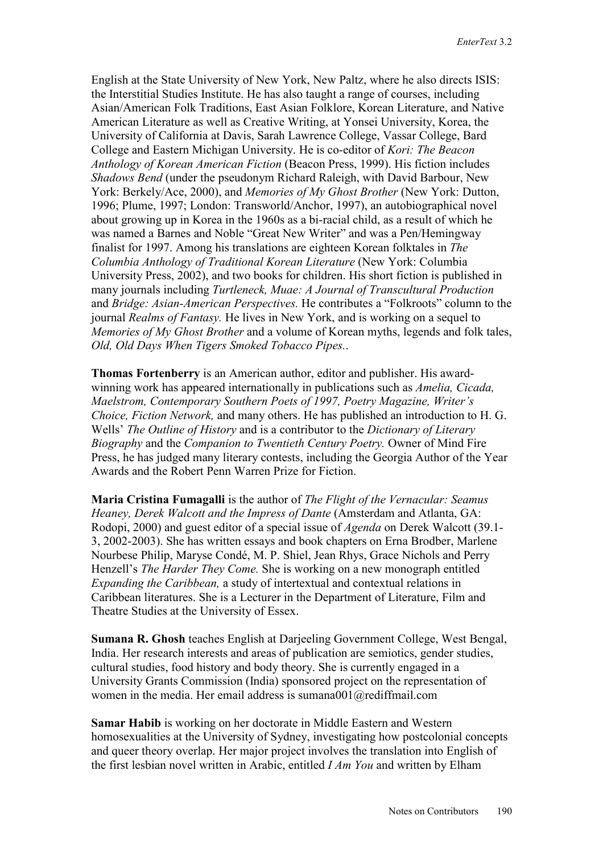English at the State University of New York, New Paltz, where he also directs ISIS: the Interstitial Studies Institute. He has also taught a range of courses, including Asian/American Folk Traditions, East Asian Folklore, Korean Literature, and Native American Literature as well as Creative Writing, at Yonsei University, Korea, the University of California at Davis, Sarah Lawrence College, Vassar College, Bard College and Eastern Michigan University. He is co-editor of *Kori: The Beacon Anthology of Korean American Fiction* (Beacon Press, 1999). His fiction includes *Shadows Bend* (under the pseudonym Richard Raleigh, with David Barbour, New York: Berkely/Ace, 2000), and *Memories of My Ghost Brother* (New York: Dutton, 1996; Plume, 1997; London: Transworld/Anchor, 1997), an autobiographical novel about growing up in Korea in the 1960s as a bi-racial child, as a result of which he was named a Barnes and Noble "Great New Writer" and was a Pen/Hemingway finalist for 1997. Among his translations are eighteen Korean folktales in *The Columbia Anthology of Traditional Korean Literature* (New York: Columbia University Press, 2002), and two books for children. His short fiction is published in many journals including *Turtleneck, Muae: A Journal of Transcultural Production*  and *Bridge: Asian-American Perspectives.* He contributes a "Folkroots" column to the journal *Realms of Fantasy.* He lives in New York, and is working on a sequel to *Memories of My Ghost Brother* and a volume of Korean myths, legends and folk tales, *Old, Old Days When Tigers Smoked Tobacco Pipes.*.

**Thomas Fortenberry** is an American author, editor and publisher. His awardwinning work has appeared internationally in publications such as *Amelia, Cicada, Maelstrom, Contemporary Southern Poets of 1997, Poetry Magazine, Writer's Choice, Fiction Network,* and many others. He has published an introduction to H. G. Wells' *The Outline of History* and is a contributor to the *Dictionary of Literary Biography* and the *Companion to Twentieth Century Poetry.* Owner of Mind Fire Press, he has judged many literary contests, including the Georgia Author of the Year Awards and the Robert Penn Warren Prize for Fiction.

**Maria Cristina Fumagalli** is the author of *The Flight of the Vernacular: Seamus Heaney, Derek Walcott and the Impress of Dante* (Amsterdam and Atlanta, GA: Rodopi, 2000) and guest editor of a special issue of *Agenda* on Derek Walcott (39.1- 3, 2002-2003). She has written essays and book chapters on Erna Brodber, Marlene Nourbese Philip, Maryse Condé, M. P. Shiel, Jean Rhys, Grace Nichols and Perry Henzell's *The Harder They Come.* She is working on a new monograph entitled *Expanding the Caribbean,* a study of intertextual and contextual relations in Caribbean literatures. She is a Lecturer in the Department of Literature, Film and Theatre Studies at the University of Essex.

**Sumana R. Ghosh** teaches English at Darjeeling Government College, West Bengal, India. Her research interests and areas of publication are semiotics, gender studies, cultural studies, food history and body theory. She is currently engaged in a University Grants Commission (India) sponsored project on the representation of women in the media. Her email address is sumana001@rediffmail.com

**Samar Habib** is working on her doctorate in Middle Eastern and Western homosexualities at the University of Sydney, investigating how postcolonial concepts and queer theory overlap. Her major project involves the translation into English of the first lesbian novel written in Arabic, entitled *I Am You* and written by Elham